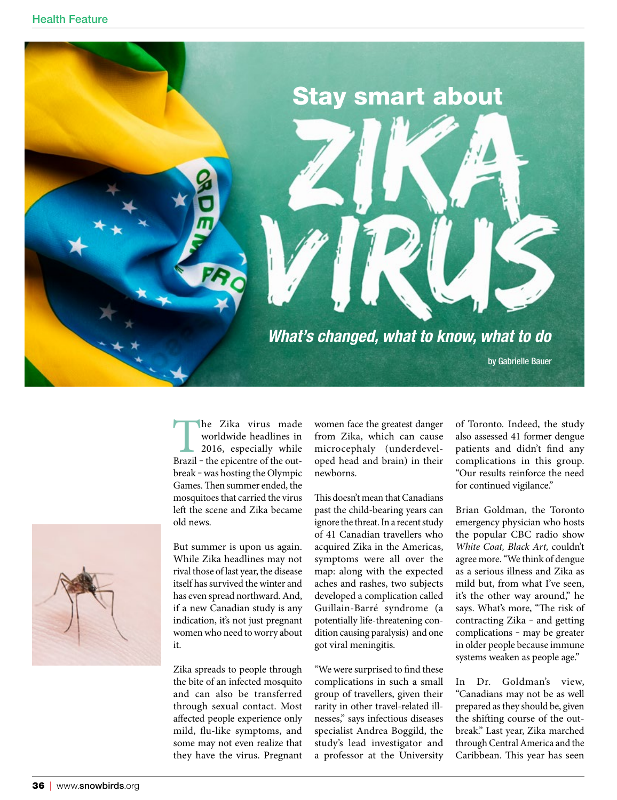

The Zika virus made<br>worldwide headlines in<br>2016, especially while<br>Brazil – the epicentre of the outworldwide headlines in 2016, especially while break – was hosting the Olympic Games. Then summer ended, the mosquitoes that carried the virus left the scene and Zika became old news.

But summer is upon us again. While Zika headlines may not rival those of last year, the disease itself has survived the winter and has even spread northward. And, if a new Canadian study is any indication, it's not just pregnant women who need to worry about it.

Zika spreads to people through the bite of an infected mosquito and can also be transferred through sexual contact. Most affected people experience only mild, flu-like symptoms, and some may not even realize that they have the virus. Pregnant women face the greatest danger from Zika, which can cause microcephaly (underdeveloped head and brain) in their newborns.

This doesn't mean that Canadians past the child-bearing years can ignore the threat. In a recent study of 41 Canadian travellers who acquired Zika in the Americas, symptoms were all over the map: along with the expected aches and rashes, two subjects developed a complication called Guillain-Barré syndrome (a potentially life-threatening condition causing paralysis) and one got viral meningitis.

"We were surprised to find these complications in such a small group of travellers, given their rarity in other travel-related illnesses," says infectious diseases specialist Andrea Boggild, the study's lead investigator and a professor at the University of Toronto. Indeed, the study also assessed 41 former dengue patients and didn't find any complications in this group. "Our results reinforce the need for continued vigilance."

Brian Goldman, the Toronto emergency physician who hosts the popular CBC radio show *White Coat, Black Art,* couldn't agree more. "We think of dengue as a serious illness and Zika as mild but, from what I've seen, it's the other way around," he says. What's more, "The risk of contracting Zika - and getting complications - may be greater in older people because immune systems weaken as people age."

In Dr. Goldman's view, "Canadians may not be as well prepared as they should be, given the shifting course of the outbreak." Last year, Zika marched through Central America and the Caribbean. This year has seen